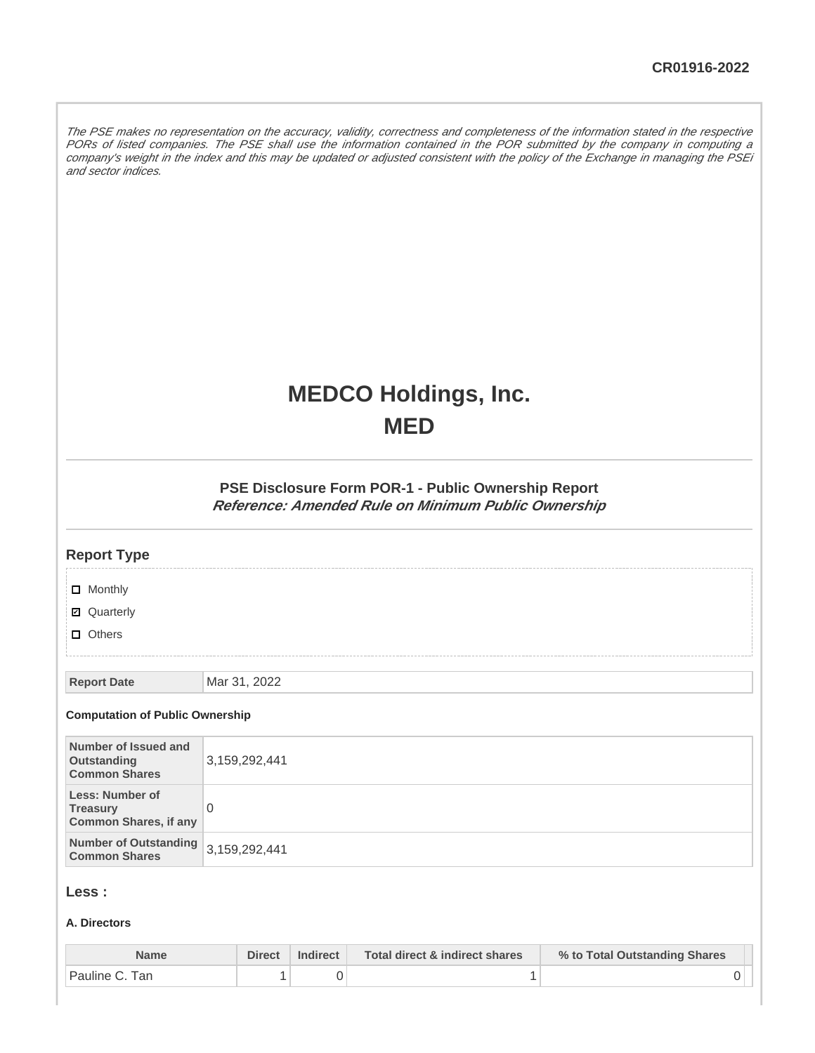The PSE makes no representation on the accuracy, validity, correctness and completeness of the information stated in the respective PORs of listed companies. The PSE shall use the information contained in the POR submitted by the company in computing a company's weight in the index and this may be updated or adjusted consistent with the policy of the Exchange in managing the PSEi and sector indices.

# **MEDCO Holdings, Inc. MED**

#### **PSE Disclosure Form POR-1 - Public Ownership Report Reference: Amended Rule on Minimum Public Ownership**

| <b>Report Type</b>                                                        |               |
|---------------------------------------------------------------------------|---------------|
| $\Box$ Monthly<br><b>Ø</b> Quarterly<br>$\Box$ Others                     |               |
| <b>Report Date</b><br><b>Computation of Public Ownership</b>              | Mar 31, 2022  |
| Number of Issued and<br>Outstanding<br><b>Common Shares</b>               | 3,159,292,441 |
| <b>Less: Number of</b><br><b>Treasury</b><br><b>Common Shares, if any</b> | $\Omega$      |
| <b>Number of Outstanding</b><br><b>Common Shares</b>                      | 3,159,292,441 |
| Less :                                                                    |               |

#### **A. Directors**

| Name                        | <b>Direct</b> | <b>Indirect</b> | Total direct & indirect shares | % to Total Outstanding Shares |
|-----------------------------|---------------|-----------------|--------------------------------|-------------------------------|
| <sup>'</sup> Pauline C. Tan |               |                 |                                |                               |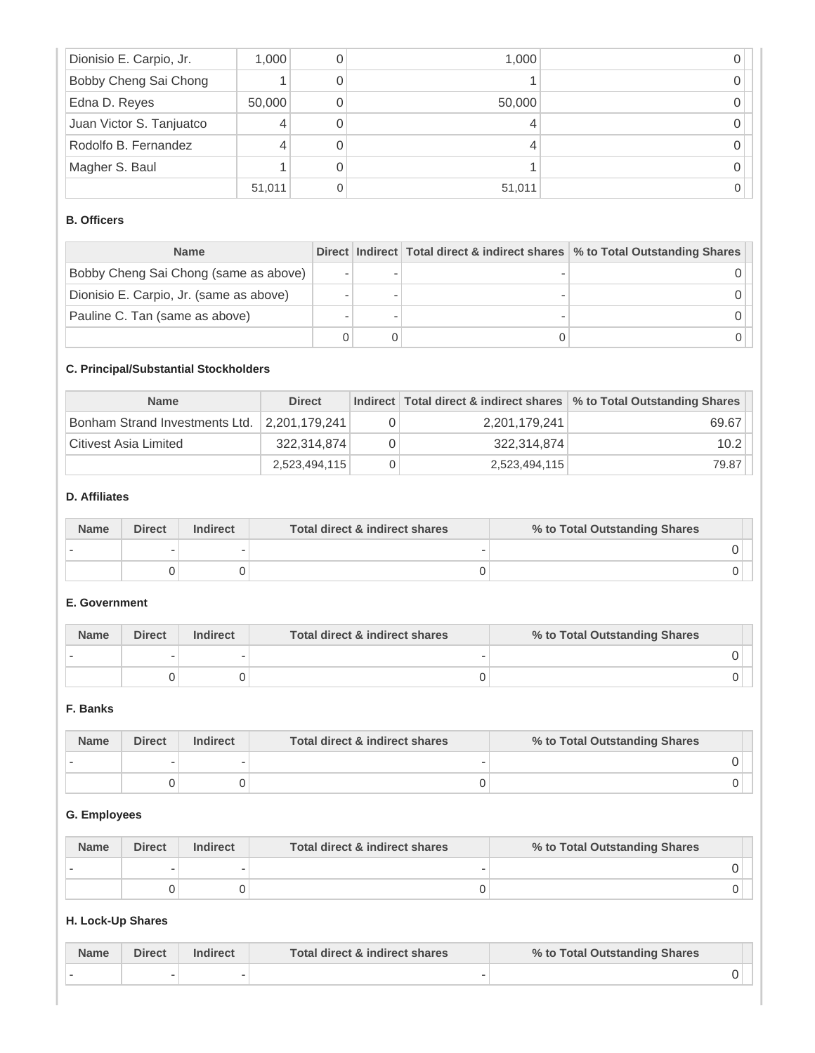| Dionisio E. Carpio, Jr.  | 1,000  | 1,000  |  |
|--------------------------|--------|--------|--|
| Bobby Cheng Sai Chong    |        |        |  |
| Edna D. Reyes            | 50,000 | 50,000 |  |
| Juan Victor S. Tanjuatco |        |        |  |
| Rodolfo B. Fernandez     |        |        |  |
| Magher S. Baul           |        |        |  |
|                          | 51,011 | 51,011 |  |

## **B. Officers**

| <b>Name</b>                             |  | Direct Indirect Total direct & indirect shares \% to Total Outstanding Shares |
|-----------------------------------------|--|-------------------------------------------------------------------------------|
| Bobby Cheng Sai Chong (same as above)   |  |                                                                               |
| Dionisio E. Carpio, Jr. (same as above) |  |                                                                               |
| Pauline C. Tan (same as above)          |  |                                                                               |
|                                         |  |                                                                               |

## **C. Principal/Substantial Stockholders**

| <b>Name</b>                    | <b>Direct</b> |               | Indirect   Total direct & indirect shares   % to Total Outstanding Shares |
|--------------------------------|---------------|---------------|---------------------------------------------------------------------------|
| Bonham Strand Investments Ltd. | 2.201.179.241 | 2,201,179,241 | 69.67                                                                     |
| Citivest Asia Limited          | 322,314,874   | 322.314.874   | 10.2                                                                      |
|                                | 2,523,494,115 | 2,523,494,115 | 79.87                                                                     |

#### **D. Affiliates**

| <b>Name</b> | <b>Direct</b> | <b>Indirect</b> | Total direct & indirect shares | % to Total Outstanding Shares |  |
|-------------|---------------|-----------------|--------------------------------|-------------------------------|--|
|             |               |                 |                                |                               |  |
|             |               |                 |                                |                               |  |

#### **E. Government**

| <b>Name</b> | <b>Direct</b> | <b>Indirect</b> | Total direct & indirect shares | % to Total Outstanding Shares |  |
|-------------|---------------|-----------------|--------------------------------|-------------------------------|--|
|             |               |                 |                                |                               |  |
|             |               |                 |                                |                               |  |

#### **F. Banks**

| <b>Name</b> | <b>Direct</b> | <b>Indirect</b> | Total direct & indirect shares | % to Total Outstanding Shares |
|-------------|---------------|-----------------|--------------------------------|-------------------------------|
|             |               |                 |                                |                               |
|             |               |                 |                                |                               |

# **G. Employees**

| <b>Name</b> | <b>Direct</b> | <b>Indirect</b> | Total direct & indirect shares | % to Total Outstanding Shares |  |
|-------------|---------------|-----------------|--------------------------------|-------------------------------|--|
|             |               |                 |                                |                               |  |
|             |               |                 |                                |                               |  |

## **H. Lock-Up Shares**

| Name | Direct | Indirect | Total direct & indirect shares | % to Total Outstanding Shares |  |
|------|--------|----------|--------------------------------|-------------------------------|--|
|      |        |          |                                |                               |  |